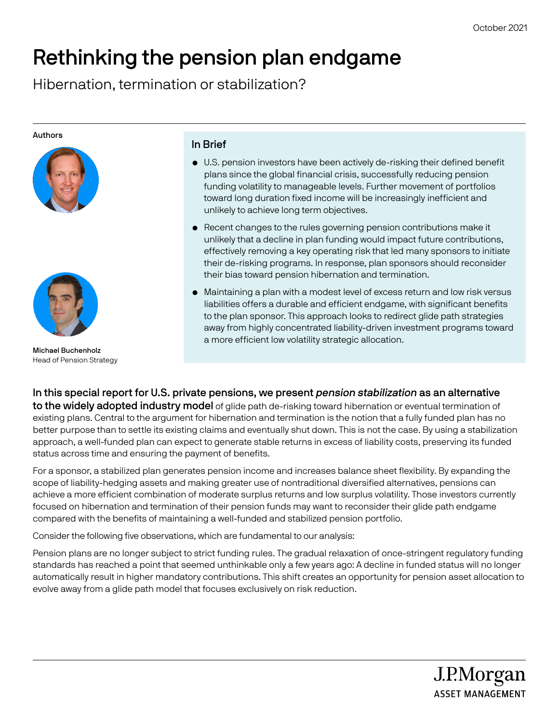J.P.Morgan **ASSET MANAGEMENT** 

# Rethinking the pension plan endgame

Hibernation, termination or stabilization?

#### Authors





Michael Buchenholz Head of Pension Strategy

## In Brief

- U.S. pension investors have been actively de-risking their defined benefit plans since the global financial crisis, successfully reducing pension funding volatility to manageable levels. Further movement of portfolios toward long duration fixed income will be increasingly inefficient and unlikely to achieve long term objectives.
- Recent changes to the rules governing pension contributions make it unlikely that a decline in plan funding would impact future contributions, effectively removing a key operating risk that led many sponsors to initiate their de-risking programs. In response, plan sponsors should reconsider their bias toward pension hibernation and termination.
- Maintaining a plan with a modest level of excess return and low risk versus liabilities offers a durable and efficient endgame, with significant benefits to the plan sponsor. This approach looks to redirect glide path strategies away from highly concentrated liability-driven investment programs toward a more efficient low volatility strategic allocation.

In this special report for U.S. private pensions, we present *pension stabilization* as an alternative to the widely adopted industry model of glide path de-risking toward hibernation or eventual termination of existing plans. Central to the argument for hibernation and termination is the notion that a fully funded plan has no better purpose than to settle its existing claims and eventually shut down. This is not the case. By using a stabilization approach, a well-funded plan can expect to generate stable returns in excess of liability costs, preserving its funded status across time and ensuring the payment of benefits.

For a sponsor, a stabilized plan generates pension income and increases balance sheet flexibility. By expanding the scope of liability-hedging assets and making greater use of nontraditional diversified alternatives, pensions can achieve a more efficient combination of moderate surplus returns and low surplus volatility. Those investors currently focused on hibernation and termination of their pension funds may want to reconsider their glide path endgame compared with the benefits of maintaining a well-funded and stabilized pension portfolio.

Consider the following five observations, which are fundamental to our analysis:

Pension plans are no longer subject to strict funding rules. The gradual relaxation of once-stringent regulatory funding standards has reached a point that seemed unthinkable only a few years ago: A decline in funded status will no longer automatically result in higher mandatory contributions. This shift creates an opportunity for pension asset allocation to evolve away from a glide path model that focuses exclusively on risk reduction.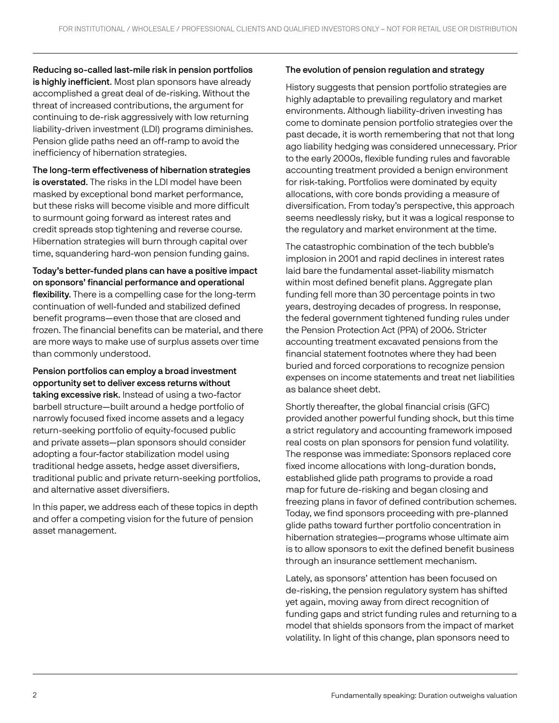Reducing so-called last-mile risk in pension portfolios is highly inefficient. Most plan sponsors have already accomplished a great deal of de-risking. Without the threat of increased contributions, the argument for continuing to de-risk aggressively with low returning liability-driven investment (LDI) programs diminishes. Pension glide paths need an off-ramp to avoid the inefficiency of hibernation strategies.

The long-term effectiveness of hibernation strategies is overstated. The risks in the LDI model have been masked by exceptional bond market performance, but these risks will become visible and more difficult to surmount going forward as interest rates and credit spreads stop tightening and reverse course. Hibernation strategies will burn through capital over time, squandering hard-won pension funding gains.

Today's better-funded plans can have a positive impact on sponsors' financial performance and operational flexibility. There is a compelling case for the long-term continuation of well-funded and stabilized defined benefit programs—even those that are closed and frozen. The financial benefits can be material, and there are more ways to make use of surplus assets over time than commonly understood.

Pension portfolios can employ a broad investment opportunity set to deliver excess returns without taking excessive risk. Instead of using a two-factor barbell structure—built around a hedge portfolio of narrowly focused fixed income assets and a legacy return-seeking portfolio of equity-focused public and private assets—plan sponsors should consider adopting a four-factor stabilization model using traditional hedge assets, hedge asset diversifiers, traditional public and private return-seeking portfolios, and alternative asset diversifiers.

In this paper, we address each of these topics in depth and offer a competing vision for the future of pension asset management.

## The evolution of pension regulation and strategy

History suggests that pension portfolio strategies are highly adaptable to prevailing regulatory and market environments. Although liability-driven investing has come to dominate pension portfolio strategies over the past decade, it is worth remembering that not that long ago liability hedging was considered unnecessary. Prior to the early 2000s, flexible funding rules and favorable accounting treatment provided a benign environment for risk-taking. Portfolios were dominated by equity allocations, with core bonds providing a measure of diversification. From today's perspective, this approach seems needlessly risky, but it was a logical response to the regulatory and market environment at the time.

The catastrophic combination of the tech bubble's implosion in 2001 and rapid declines in interest rates laid bare the fundamental asset-liability mismatch within most defined benefit plans. Aggregate plan funding fell more than 30 percentage points in two years, destroying decades of progress. In response, the federal government tightened funding rules under the Pension Protection Act (PPA) of 2006. Stricter accounting treatment excavated pensions from the financial statement footnotes where they had been buried and forced corporations to recognize pension expenses on income statements and treat net liabilities as balance sheet debt.

Shortly thereafter, the global financial crisis (GFC) provided another powerful funding shock, but this time a strict regulatory and accounting framework imposed real costs on plan sponsors for pension fund volatility. The response was immediate: Sponsors replaced core fixed income allocations with long-duration bonds, established glide path programs to provide a road map for future de-risking and began closing and freezing plans in favor of defined contribution schemes. Today, we find sponsors proceeding with pre-planned glide paths toward further portfolio concentration in hibernation strategies—programs whose ultimate aim is to allow sponsors to exit the defined benefit business through an insurance settlement mechanism.

Lately, as sponsors' attention has been focused on de-risking, the pension regulatory system has shifted yet again, moving away from direct recognition of funding gaps and strict funding rules and returning to a model that shields sponsors from the impact of market volatility. In light of this change, plan sponsors need to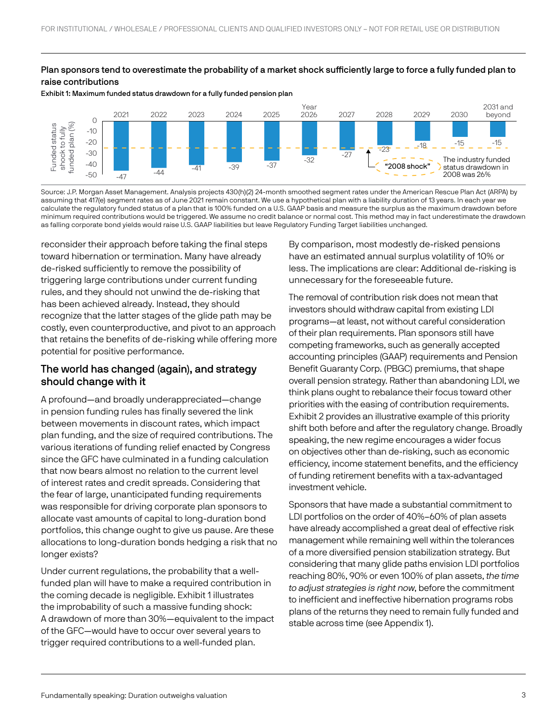## Plan sponsors tend to overestimate the probability of a market shock sufficiently large to force a fully funded plan to raise contributions

Exhibit 1: Maximum funded status drawdown for a fully funded pension plan



Source: J.P. Morgan Asset Management. Analysis projects 430(h)(2) 24-month smoothed segment rates under the American Rescue Plan Act (ARPA) by assuming that 417(e) segment rates as of June 2021 remain constant. We use a hypothetical plan with a liability duration of 13 years. In each year we calculate the regulatory funded status of a plan that is 100% funded on a U.S. GAAP basis and measure the surplus as the maximum drawdown before minimum required contributions would be triggered. We assume no credit balance or normal cost. This method may in fact underestimate the drawdown as falling corporate bond yields would raise U.S. GAAP liabilities but leave Regulatory Funding Target liabilities unchanged.

reconsider their approach before taking the final steps toward hibernation or termination. Many have already de-risked sufficiently to remove the possibility of triggering large contributions under current funding rules, and they should not unwind the de-risking that has been achieved already. Instead, they should recognize that the latter stages of the glide path may be costly, even counterproductive, and pivot to an approach that retains the benefits of de-risking while offering more potential for positive performance.

# The world has changed (again), and strategy should change with it

A profound—and broadly underappreciated—change in pension funding rules has finally severed the link between movements in discount rates, which impact plan funding, and the size of required contributions. The various iterations of funding relief enacted by Congress since the GFC have culminated in a funding calculation that now bears almost no relation to the current level of interest rates and credit spreads. Considering that the fear of large, unanticipated funding requirements was responsible for driving corporate plan sponsors to allocate vast amounts of capital to long-duration bond portfolios, this change ought to give us pause. Are these allocations to long-duration bonds hedging a risk that no longer exists?

Under current regulations, the probability that a wellfunded plan will have to make a required contribution in the coming decade is negligible. Exhibit 1 illustrates the improbability of such a massive funding shock: A drawdown of more than 30%—equivalent to the impact of the GFC—would have to occur over several years to trigger required contributions to a well-funded plan.

By comparison, most modestly de-risked pensions have an estimated annual surplus volatility of 10% or less. The implications are clear: Additional de-risking is unnecessary for the foreseeable future.

The removal of contribution risk does not mean that investors should withdraw capital from existing LDI programs—at least, not without careful consideration of their plan requirements. Plan sponsors still have competing frameworks, such as generally accepted accounting principles (GAAP) requirements and Pension Benefit Guaranty Corp. (PBGC) premiums, that shape overall pension strategy. Rather than abandoning LDI, we think plans ought to rebalance their focus toward other priorities with the easing of contribution requirements. Exhibit 2 provides an illustrative example of this priority shift both before and after the regulatory change. Broadly speaking, the new regime encourages a wider focus on objectives other than de-risking, such as economic efficiency, income statement benefits, and the efficiency of funding retirement benefits with a tax-advantaged investment vehicle.

Sponsors that have made a substantial commitment to LDI portfolios on the order of 40%–60% of plan assets have already accomplished a great deal of effective risk management while remaining well within the tolerances of a more diversified pension stabilization strategy. But considering that many glide paths envision LDI portfolios reaching 80%, 90% or even 100% of plan assets, the time to adjust strategies is right now, before the commitment to inefficient and ineffective hibernation programs robs plans of the returns they need to remain fully funded and stable across time (see Appendix 1).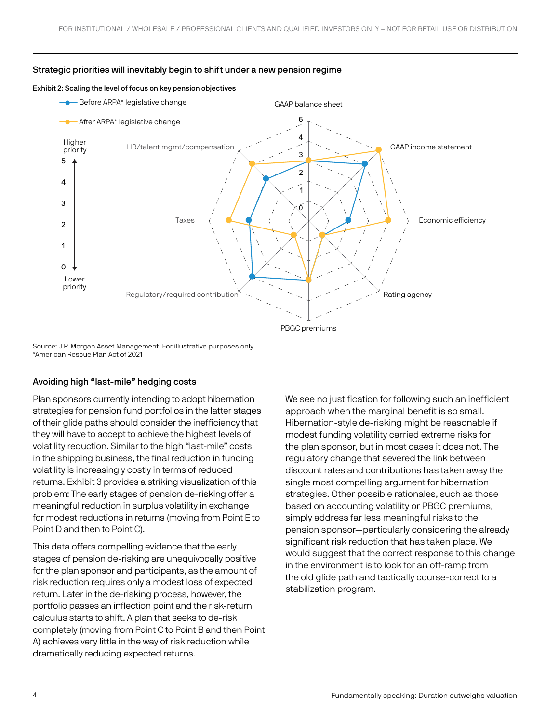

#### Strategic priorities will inevitably begin to shift under a new pension regime

Exhibit 2: Scaling the level of focus on key pension objectives

Source: J.P. Morgan Asset Management. For illustrative purposes only. \*American Rescue Plan Act of 2021

#### Avoiding high "last-mile" hedging costs

Plan sponsors currently intending to adopt hibernation strategies for pension fund portfolios in the latter stages of their glide paths should consider the inefficiency that they will have to accept to achieve the highest levels of volatility reduction. Similar to the high "last-mile" costs in the shipping business, the final reduction in funding volatility is increasingly costly in terms of reduced returns. Exhibit 3 provides a striking visualization of this problem: The early stages of pension de-risking offer a meaningful reduction in surplus volatility in exchange for modest reductions in returns (moving from Point E to Point D and then to Point C).

This data offers compelling evidence that the early stages of pension de-risking are unequivocally positive for the plan sponsor and participants, as the amount of risk reduction requires only a modest loss of expected return. Later in the de-risking process, however, the portfolio passes an inflection point and the risk-return calculus starts to shift. A plan that seeks to de-risk completely (moving from Point C to Point B and then Point A) achieves very little in the way of risk reduction while dramatically reducing expected returns.

We see no justification for following such an inefficient approach when the marginal benefit is so small. Hibernation-style de-risking might be reasonable if modest funding volatility carried extreme risks for the plan sponsor, but in most cases it does not. The regulatory change that severed the link between discount rates and contributions has taken away the single most compelling argument for hibernation strategies. Other possible rationales, such as those based on accounting volatility or PBGC premiums, simply address far less meaningful risks to the pension sponsor—particularly considering the already significant risk reduction that has taken place. We would suggest that the correct response to this change in the environment is to look for an off-ramp from the old glide path and tactically course-correct to a stabilization program.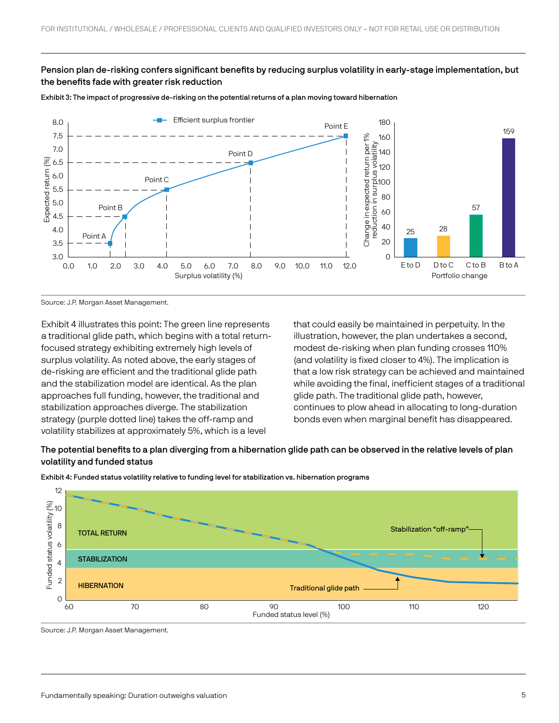## Pension plan de-risking confers significant benefits by reducing surplus volatility in early-stage implementation, but the benefits fade with greater risk reduction





Source: J.P. Morgan Asset Management.

Exhibit 4 illustrates this point: The green line represents a traditional glide path, which begins with a total returnfocused strategy exhibiting extremely high levels of surplus volatility. As noted above, the early stages of de-risking are efficient and the traditional glide path and the stabilization model are identical. As the plan approaches full funding, however, the traditional and stabilization approaches diverge. The stabilization strategy (purple dotted line) takes the off-ramp and volatility stabilizes at approximately 5%, which is a level

that could easily be maintained in perpetuity. In the illustration, however, the plan undertakes a second, modest de-risking when plan funding crosses 110% (and volatility is fixed closer to 4%). The implication is that a low risk strategy can be achieved and maintained while avoiding the final, inefficient stages of a traditional glide path. The traditional glide path, however, continues to plow ahead in allocating to long-duration bonds even when marginal benefit has disappeared.

## The potential benefits to a plan diverging from a hibernation glide path can be observed in the relative levels of plan volatility and funded status



Exhibit 4: Funded status volatility relative to funding level for stabilization vs. hibernation programs

Source: J.P. Morgan Asset Management.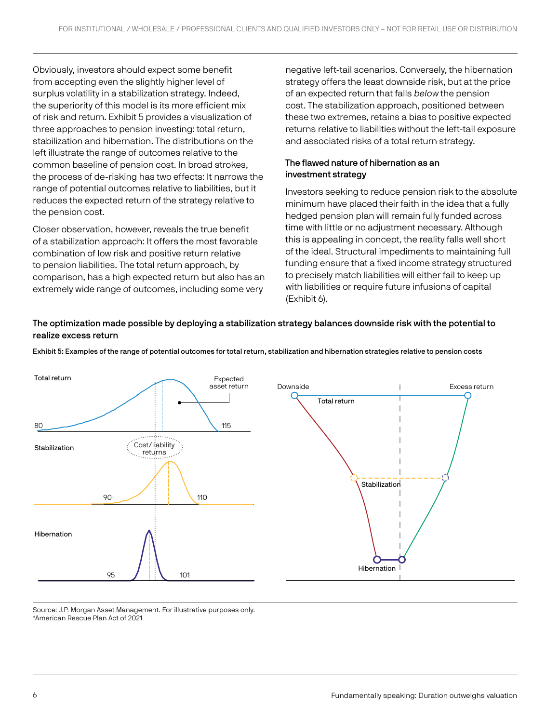Obviously, investors should expect some benefit from accepting even the slightly higher level of surplus volatility in a stabilization strategy. Indeed, the superiority of this model is its more efficient mix of risk and return. Exhibit 5 provides a visualization of three approaches to pension investing: total return, stabilization and hibernation. The distributions on the left illustrate the range of outcomes relative to the common baseline of pension cost. In broad strokes, the process of de-risking has two effects: It narrows the range of potential outcomes relative to liabilities, but it reduces the expected return of the strategy relative to the pension cost.

Closer observation, however, reveals the true benefit of a stabilization approach: It offers the most favorable combination of low risk and positive return relative to pension liabilities. The total return approach, by comparison, has a high expected return but also has an extremely wide range of outcomes, including some very

negative left-tail scenarios. Conversely, the hibernation strategy offers the least downside risk, but at the price of an expected return that falls below the pension cost. The stabilization approach, positioned between these two extremes, retains a bias to positive expected returns relative to liabilities without the left-tail exposure and associated risks of a total return strategy.

# The flawed nature of hibernation as an investment strategy

Investors seeking to reduce pension risk to the absolute minimum have placed their faith in the idea that a fully hedged pension plan will remain fully funded across time with little or no adjustment necessary. Although this is appealing in concept, the reality falls well short of the ideal. Structural impediments to maintaining full funding ensure that a fixed income strategy structured to precisely match liabilities will either fail to keep up with liabilities or require future infusions of capital (Exhibit 6).

# The optimization made possible by deploying a stabilization strategy balances downside risk with the potential to realize excess return

Downside **Excess return** Total return **Stabilization** Hibernation 95 / ii**\** 101 Expected asset return 90  $\rightarrow$  110 80 **115** 115 Cost/liability returns Total return Stabilization Hibernation

Exhibit 5: Examples of the range of potential outcomes for total return, stabilization and hibernation strategies relative to pension costs

Source: J.P. Morgan Asset Management. For illustrative purposes only. \*American Rescue Plan Act of 2021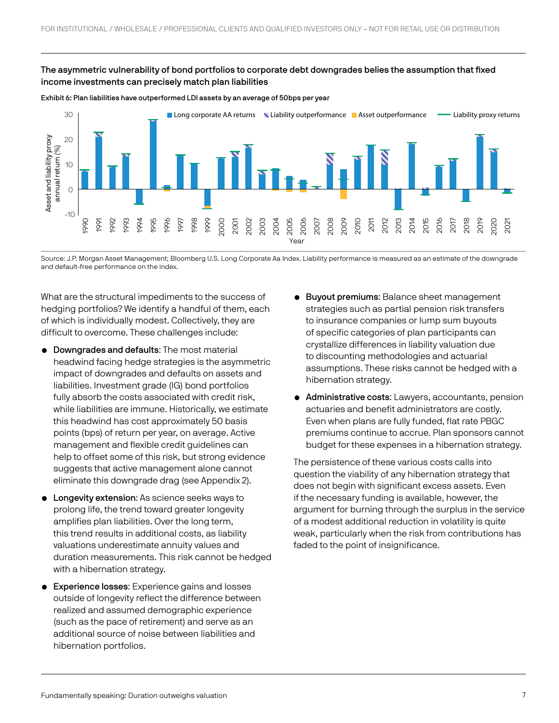## The asymmetric vulnerability of bond portfolios to corporate debt downgrades belies the assumption that fixed income investments can precisely match plan liabilities





Source: J.P. Morgan Asset Management; Bloomberg U.S. Long Corporate Aa Index. Liability performance is measured as an estimate of the downgrade

What are the structural impediments to the success of hedging portfolios? We identify a handful of them, each of which is individually modest. Collectively, they are difficult to overcome. These challenges include:

- Downgrades and defaults: The most material headwind facing hedge strategies is the asymmetric impact of downgrades and defaults on assets and liabilities. Investment grade (IG) bond portfolios fully absorb the costs associated with credit risk, while liabilities are immune. Historically, we estimate this headwind has cost approximately 50 basis points (bps) of return per year, on average. Active management and flexible credit guidelines can help to offset some of this risk, but strong evidence suggests that active management alone cannot eliminate this downgrade drag (see Appendix 2).
- **Longevity extension:** As science seeks ways to prolong life, the trend toward greater longevity amplifies plan liabilities. Over the long term, this trend results in additional costs, as liability valuations underestimate annuity values and duration measurements. This risk cannot be hedged with a hibernation strategy.
- **Experience losses:** Experience gains and losses outside of longevity reflect the difference between realized and assumed demographic experience (such as the pace of retirement) and serve as an additional source of noise between liabilities and hibernation portfolios.
- **Buyout premiums: Balance sheet management** strategies such as partial pension risk transfers to insurance companies or lump sum buyouts of specific categories of plan participants can crystallize differences in liability valuation due to discounting methodologies and actuarial assumptions. These risks cannot be hedged with a hibernation strategy.
- Administrative costs: Lawyers, accountants, pension actuaries and benefit administrators are costly. Even when plans are fully funded, flat rate PBGC premiums continue to accrue. Plan sponsors cannot budget for these expenses in a hibernation strategy.

The persistence of these various costs calls into question the viability of any hibernation strategy that does not begin with significant excess assets. Even if the necessary funding is available, however, the argument for burning through the surplus in the service of a modest additional reduction in volatility is quite weak, particularly when the risk from contributions has faded to the point of insignificance.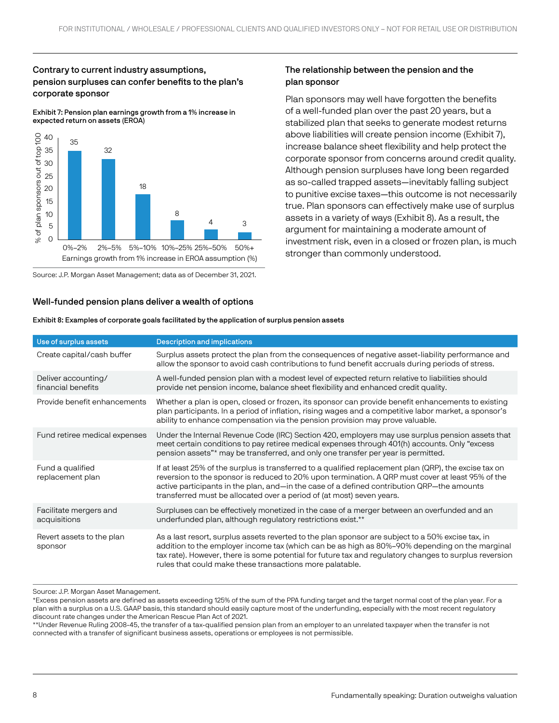## Contrary to current industry assumptions, pension surpluses can confer benefits to the plan's corporate sponsor

Exhibit 7: Pension plan earnings growth from a 1% increase in expected return on assets (EROA)



Source: J.P. Morgan Asset Management; data as of December 31, 2021.

## Well-funded pension plans deliver a wealth of options

## The relationship between the pension and the plan sponsor

Plan sponsors may well have forgotten the benefits of a well-funded plan over the past 20 years, but a stabilized plan that seeks to generate modest returns above liabilities will create pension income (Exhibit 7), increase balance sheet flexibility and help protect the corporate sponsor from concerns around credit quality. Although pension surpluses have long been regarded as so-called trapped assets—inevitably falling subject to punitive excise taxes—this outcome is not necessarily true. Plan sponsors can effectively make use of surplus assets in a variety of ways (Exhibit 8). As a result, the argument for maintaining a moderate amount of investment risk, even in a closed or frozen plan, is much stronger than commonly understood.

| Use of surplus assets                     | <b>Description and implications</b>                                                                                                                                                                                                                                                                                                                                                |
|-------------------------------------------|------------------------------------------------------------------------------------------------------------------------------------------------------------------------------------------------------------------------------------------------------------------------------------------------------------------------------------------------------------------------------------|
| Create capital/cash buffer                | Surplus assets protect the plan from the consequences of negative asset-liability performance and<br>allow the sponsor to avoid cash contributions to fund benefit accruals during periods of stress.                                                                                                                                                                              |
| Deliver accounting/<br>financial benefits | A well-funded pension plan with a modest level of expected return relative to liabilities should<br>provide net pension income, balance sheet flexibility and enhanced credit quality.                                                                                                                                                                                             |
| Provide benefit enhancements              | Whether a plan is open, closed or frozen, its sponsor can provide benefit enhancements to existing<br>plan participants. In a period of inflation, rising wages and a competitive labor market, a sponsor's<br>ability to enhance compensation via the pension provision may prove valuable.                                                                                       |
| Fund retiree medical expenses             | Under the Internal Revenue Code (IRC) Section 420, employers may use surplus pension assets that<br>meet certain conditions to pay retiree medical expenses through 401(h) accounts. Only "excess<br>pension assets"* may be transferred, and only one transfer per year is permitted.                                                                                             |
| Fund a qualified<br>replacement plan      | If at least 25% of the surplus is transferred to a qualified replacement plan (QRP), the excise tax on<br>reversion to the sponsor is reduced to 20% upon termination. A QRP must cover at least 95% of the<br>active participants in the plan, and—in the case of a defined contribution QRP—the amounts<br>transferred must be allocated over a period of (at most) seven years. |
| Facilitate mergers and<br>acquisitions    | Surpluses can be effectively monetized in the case of a merger between an overfunded and an<br>underfunded plan, although regulatory restrictions exist.**                                                                                                                                                                                                                         |
| Revert assets to the plan<br>sponsor      | As a last resort, surplus assets reverted to the plan sponsor are subject to a 50% excise tax, in<br>addition to the employer income tax (which can be as high as 80%–90% depending on the marginal<br>tax rate). However, there is some potential for future tax and regulatory changes to surplus reversion<br>rules that could make these transactions more palatable.          |

Exhibit 8: Examples of corporate goals facilitated by the application of surplus pension assets

Source: J.P. Morgan Asset Management.

\*Excess pension assets are defined as assets exceeding 125% of the sum of the PPA funding target and the target normal cost of the plan year. For a plan with a surplus on a U.S. GAAP basis, this standard should easily capture most of the underfunding, especially with the most recent regulatory discount rate changes under the American Rescue Plan Act of 2021.

\*\*Under Revenue Ruling 2008-45, the transfer of a tax-qualified pension plan from an employer to an unrelated taxpayer when the transfer is not connected with a transfer of significant business assets, operations or employees is not permissible.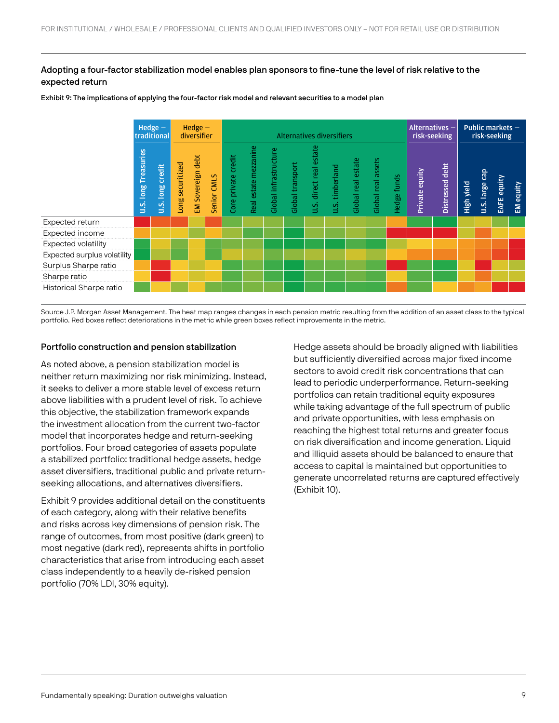## Adopting a four-factor stabilization model enables plan sponsors to fine-tune the level of risk relative to the expected return

Exhibit 9: The implications of applying the four-factor risk model and relevant securities to a model plan

|                             | Hedge $-$<br>traditional         |                            | $Hedge -$<br>diversifier |                   | <b>Alternatives diversifiers</b> |                     |                       |                       |                  |                         |                 | Alternatives -<br>risk-seeking |                    | Public markets $-$<br>risk-seeking |                |                 |            |                       |             |           |
|-----------------------------|----------------------------------|----------------------------|--------------------------|-------------------|----------------------------------|---------------------|-----------------------|-----------------------|------------------|-------------------------|-----------------|--------------------------------|--------------------|------------------------------------|----------------|-----------------|------------|-----------------------|-------------|-----------|
|                             | Treasuries<br><b>Buol</b><br>u.s | credit<br><b>U.S. long</b> | ong securitized          | EM Sovereign debt | Senior CMLS                      | Core private credit | Real estate mezzanine | Global infrastructure | Global transport | u.S. direct real estate | J.S. timberland | Global real estate             | Global real assets | Hedge funds                        | Private equity | Distressed debt | High yield | <b>U.S.</b> large cap | EAFE equity | EM equity |
| Expected return             |                                  |                            |                          |                   |                                  |                     |                       |                       |                  |                         |                 |                                |                    |                                    |                |                 |            |                       |             |           |
| Expected income             |                                  |                            |                          |                   |                                  |                     |                       |                       |                  |                         |                 |                                |                    |                                    |                |                 |            |                       |             |           |
| Expected volatility         |                                  |                            |                          |                   |                                  |                     |                       |                       |                  |                         |                 |                                |                    |                                    |                |                 |            |                       |             |           |
| Expected surplus volatility |                                  |                            |                          |                   |                                  |                     |                       |                       |                  |                         |                 |                                |                    |                                    |                |                 |            |                       |             |           |
| Surplus Sharpe ratio        |                                  |                            |                          |                   |                                  |                     |                       |                       |                  |                         |                 |                                |                    |                                    |                |                 |            |                       |             |           |
| Sharpe ratio                |                                  |                            |                          |                   |                                  |                     |                       |                       |                  |                         |                 |                                |                    |                                    |                |                 |            |                       |             |           |
| Historical Sharpe ratio     |                                  |                            |                          |                   |                                  |                     |                       |                       |                  |                         |                 |                                |                    |                                    |                |                 |            |                       |             |           |

Source J.P. Morgan Asset Management. The heat map ranges changes in each pension metric resulting from the addition of an asset class to the typical portfolio. Red boxes reflect deteriorations in the metric while green boxes reflect improvements in the metric.

## Portfolio construction and pension stabilization

As noted above, a pension stabilization model is neither return maximizing nor risk minimizing. Instead, it seeks to deliver a more stable level of excess return above liabilities with a prudent level of risk. To achieve this objective, the stabilization framework expands the investment allocation from the current two-factor model that incorporates hedge and return-seeking portfolios. Four broad categories of assets populate a stabilized portfolio: traditional hedge assets, hedge asset diversifiers, traditional public and private returnseeking allocations, and alternatives diversifiers.

Exhibit 9 provides additional detail on the constituents of each category, along with their relative benefits and risks across key dimensions of pension risk. The range of outcomes, from most positive (dark green) to most negative (dark red), represents shifts in portfolio characteristics that arise from introducing each asset class independently to a heavily de-risked pension portfolio (70% LDI, 30% equity).

Hedge assets should be broadly aligned with liabilities but sufficiently diversified across major fixed income sectors to avoid credit risk concentrations that can lead to periodic underperformance. Return-seeking portfolios can retain traditional equity exposures while taking advantage of the full spectrum of public and private opportunities, with less emphasis on reaching the highest total returns and greater focus on risk diversification and income generation. Liquid and illiquid assets should be balanced to ensure that access to capital is maintained but opportunities to generate uncorrelated returns are captured effectively (Exhibit 10).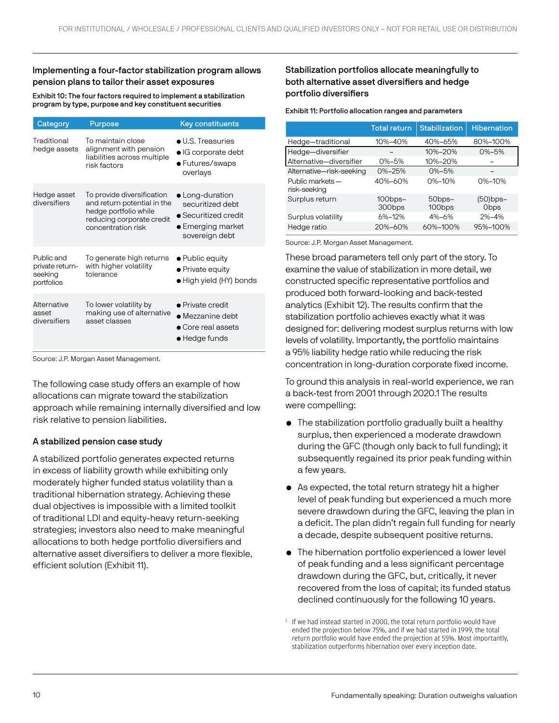## Implementing a four-factor stabilization program allows pension plans to tailor their asset exposures

Exhibit 10: The four factors required to implement a stabilization program by type, purpose and key constituent securities

| Category                                               | Purpose                                                                                                                               | <b>Key constituents</b>                                                                                    |
|--------------------------------------------------------|---------------------------------------------------------------------------------------------------------------------------------------|------------------------------------------------------------------------------------------------------------|
| Traditional<br>hedge assets                            | To maintain close<br>alignment with pension<br>liabilities across multiple<br>risk factors                                            | $\bullet$ U.S. Treasuries<br>$\bullet$ IG corporate debt<br>• Futures/swaps<br>overlays                    |
| Hedge asset<br>diversifiers                            | To provide diversification<br>and return potential in the<br>hedge portfolio while<br>reducing corporate credit<br>concentration risk | $\bullet$ Long-duration<br>securitized debt<br>• Securitized credit<br>• Emerging market<br>sovereign debt |
| Public and<br>private return-<br>seeking<br>portfolios | To generate high returns<br>with higher volatility<br>tolerance                                                                       | $\bullet$ Public equity<br>• Private equity<br>• High yield (HY) bonds                                     |
| Alternative<br>asset<br>diversifiers                   | To lower volatility by<br>making use of alternative<br>asset classes                                                                  | • Private credit<br>$\bullet$ Mezzanine debt<br>• Core real assets<br>$\bullet$ Hedge funds                |

Source: J.P. Morgan Asset Management.

The following case study offers an example of how allocations can migrate toward the stabilization approach while remaining internally diversified and low risk relative to pension liabilities.

## A stabilized pension case study

A stabilized portfolio generates expected returns in excess of liability growth while exhibiting only moderately higher funded status volatility than a traditional hibernation strategy. Achieving these dual objectives is impossible with a limited toolkit of traditional LDI and equity-heavy return-seeking strategies; investors also need to make meaningful allocations to both hedge portfolio diversifiers and alternative asset diversifiers to deliver a more flexible, efficient solution (Exhibit 11).

## Stabilization portfolios allocate meaningfully to both alternative asset diversifiers and hedge portfolio diversifiers

#### Exhibit 11: Portfolio allocation ranges and parameters

|                                  | <b>Total return</b>  | <b>Stabilization</b>         | <b>Hibernation</b>      |
|----------------------------------|----------------------|------------------------------|-------------------------|
| Hedge-traditional                | 10%-40%              | 40%-65%                      | 80%-100%                |
| Hedge-diversifier                |                      | 10%-20%                      | 0%-5%                   |
| Alternative-diversifier          | $0\% - 5\%$          | 10%-20%                      |                         |
| Alternative-risk-seeking         | $0\% - 25\%$         | $0\% - 5\%$                  |                         |
| Public markets -<br>risk-seeking | $40\% - 60\%$        | $0\% - 10\%$                 | 0%-10%                  |
| Surplus return                   | $100$ bps-<br>300bps | 50bps-<br>100 <sub>bps</sub> | (50)bps-<br><b>Obps</b> |
| Surplus volatility               | $6\% - 12\%$         | $4% - 6%$                    | $2% - 4%$               |
| Hedge ratio                      | 20%-60%              | 60%-100%                     | 95%-100%                |

Source: J.P. Morgan Asset Management.

These broad parameters tell only part of the story. To examine the value of stabilization in more detail, we constructed specific representative portfolios and produced both forward-looking and back-tested analytics (Exhibit 12). The results confirm that the stabilization portfolio achieves exactly what it was designed for: delivering modest surplus returns with low levels of volatility. Importantly, the portfolio maintains a 95% liability hedge ratio while reducing the risk concentration in long-duration corporate fixed income.

To ground this analysis in real-world experience, we ran a back-test from 2001 through 2020.1 The results were compelling:

- The stabilization portfolio gradually built a healthy surplus, then experienced a moderate drawdown during the GFC (though only back to full funding); it subsequently regained its prior peak funding within a few years.
- As expected, the total return strategy hit a higher level of peak funding but experienced a much more severe drawdown during the GFC, leaving the plan in a deficit. The plan didn't regain full funding for nearly a decade, despite subsequent positive returns.
- The hibernation portfolio experienced a lower level of peak funding and a less significant percentage drawdown during the GFC, but, critically, it never recovered from the loss of capital; its funded status declined continuously for the following 10 years.

 $1$  If we had instead started in 2000, the total return portfolio would have ended the projection below 75%, and if we had started in 1999, the total return portfolio would have ended the projection at 55%. Most importantly, stabilization outperforms hibernation over every inception date.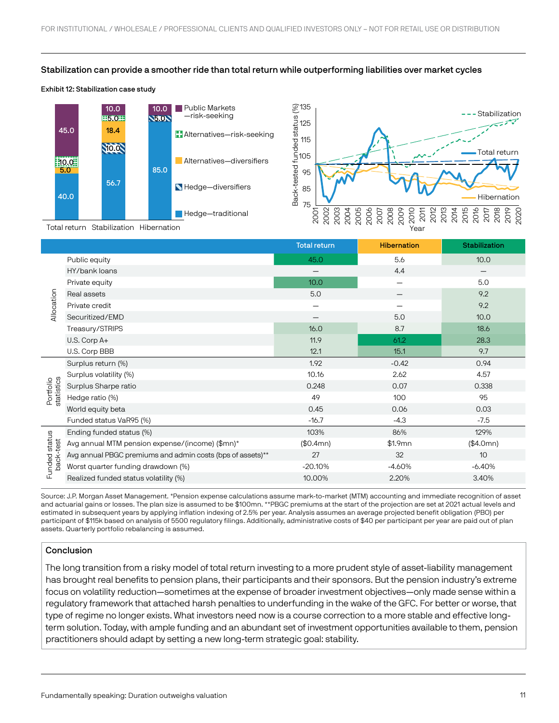#### Stabilization can provide a smoother ride than total return while outperforming liabilities over market cycles

#### Exhibit 12: Stabilization case study



|                           |                                                            | <b>Total return</b> | <b>Hibernation</b>                      | <b>Stabilization</b> |
|---------------------------|------------------------------------------------------------|---------------------|-----------------------------------------|----------------------|
|                           | Public equity                                              | 45.0                | 5.6                                     | 10.0                 |
|                           | HY/bank loans                                              |                     | 4.4                                     |                      |
|                           | Private equity                                             | 10.0                | $\qquad \qquad \  \  \, -\qquad \qquad$ | 5.0                  |
|                           | Real assets                                                | 5.0                 |                                         | 9.2                  |
| Allocation                | Private credit                                             |                     |                                         | 9.2                  |
|                           | Securitized/EMD                                            |                     | 5.0                                     | 10.0                 |
|                           | Treasury/STRIPS                                            | 16.0                | 8.7                                     | 18.6                 |
|                           | U.S. Corp A+                                               | 11.9                | 61.2                                    | 28.3                 |
|                           | U.S. Corp BBB                                              | 12.1                | 15.1                                    | 9.7                  |
| statistics<br>Portfolio   | Surplus return (%)                                         | 1.92                | $-0.42$                                 | 0.94                 |
|                           | Surplus volatility (%)                                     | 10.16               | 2.62                                    | 4.57                 |
|                           | Surplus Sharpe ratio                                       | 0.248               | 0.07                                    | 0.338                |
|                           | Hedge ratio (%)                                            | 49                  | 100                                     | 95                   |
|                           | World equity beta                                          | 0.45                | 0.06                                    | 0.03                 |
|                           | Funded status VaR95 (%)                                    | $-16.7$             | $-4.3$                                  | $-7.5$               |
|                           | Ending funded status (%)                                   | 103%                | 86%                                     | 129%                 |
| unded status<br>back-test | Avg annual MTM pension expense/(income) (\$mn)*            | (\$0.4mn)           | \$1.9mn                                 | (\$4.0mn)            |
|                           | Avg annual PBGC premiums and admin costs (bps of assets)** | 27                  | 32                                      | 10 <sup>°</sup>      |
|                           | Worst quarter funding drawdown (%)                         | $-20.10%$           | $-4.60%$                                | $-6.40%$             |
| 쿤                         | Realized funded status volatility (%)                      | 10.00%              | 2.20%                                   | 3.40%                |
|                           |                                                            |                     |                                         |                      |

Source: J.P. Morgan Asset Management. \*Pension expense calculations assume mark-to-market (MTM) accounting and immediate recognition of asset and actuarial gains or losses. The plan size is assumed to be \$100mn. \*\*PBGC premiums at the start of the projection are set at 2021 actual levels and estimated in subsequent years by applying inflation indexing of 2.5% per year. Analysis assumes an average projected benefit obligation (PBO) per participant of \$115k based on analysis of 5500 regulatory filings. Additionally, administrative costs of \$40 per participant per year are paid out of plan assets. Quarterly portfolio rebalancing is assumed.

## Conclusion

The long transition from a risky model of total return investing to a more prudent style of asset-liability management has brought real benefits to pension plans, their participants and their sponsors. But the pension industry's extreme focus on volatility reduction—sometimes at the expense of broader investment objectives—only made sense within a regulatory framework that attached harsh penalties to underfunding in the wake of the GFC. For better or worse, that type of regime no longer exists. What investors need now is a course correction to a more stable and effective longterm solution. Today, with ample funding and an abundant set of investment opportunities available to them, pension practitioners should adapt by setting a new long-term strategic goal: stability.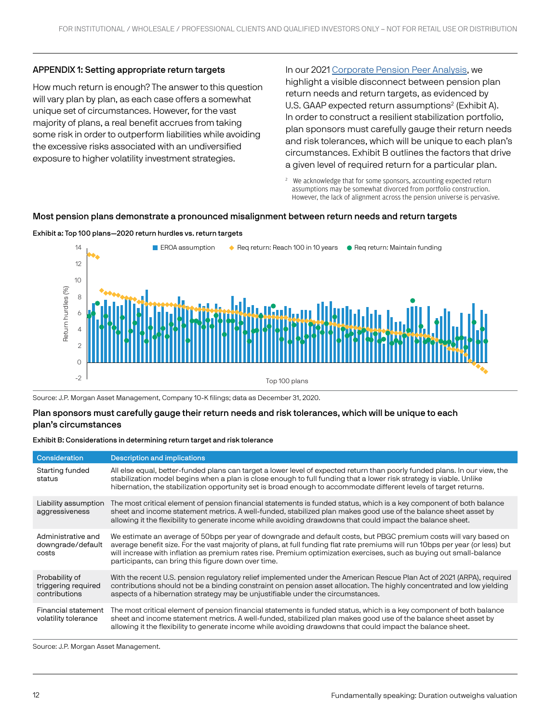## APPENDIX 1: Setting appropriate return targets

How much return is enough? The answer to this question will vary plan by plan, as each case offers a somewhat unique set of circumstances. However, for the vast majority of plans, a real benefit accrues from taking some risk in order to outperform liabilities while avoiding the excessive risks associated with an undiversified exposure to higher volatility investment strategies.

In our 2021 [Corporate Pension Peer Analysis,](https://am.jpmorgan.com/us/en/asset-management/institutional/investment-strategies/pension-strategy/corporate-pension-peer-analysis/) we highlight a visible disconnect between pension plan return needs and return targets, as evidenced by U.S. GAAP expected return assumptions<sup>2</sup> (Exhibit A). In order to construct a resilient stabilization portfolio, plan sponsors must carefully gauge their return needs and risk tolerances, which will be unique to each plan's circumstances. Exhibit B outlines the factors that drive a given level of required return for a particular plan.

<sup>2</sup> We acknowledge that for some sponsors, accounting expected return assumptions may be somewhat divorced from portfolio construction. However, the lack of alignment across the pension universe is pervasive.

#### Most pension plans demonstrate a pronounced misalignment between return needs and return targets





Source: J.P. Morgan Asset Management, Company 10-K filings; data as December 31, 2020.

#### Plan sponsors must carefully gauge their return needs and risk tolerances, which will be unique to each plan's circumstances

#### Exhibit B: Considerations in determining return target and risk tolerance

| <b>Consideration</b>                                   | <b>Description and implications</b>                                                                                                                                                                                                                                                                                                                                                                                                 |
|--------------------------------------------------------|-------------------------------------------------------------------------------------------------------------------------------------------------------------------------------------------------------------------------------------------------------------------------------------------------------------------------------------------------------------------------------------------------------------------------------------|
| Starting funded<br>status                              | All else equal, better-funded plans can target a lower level of expected return than poorly funded plans. In our view, the<br>stabilization model begins when a plan is close enough to full funding that a lower risk strategy is viable. Unlike<br>hibernation, the stabilization opportunity set is broad enough to accommodate different levels of target returns.                                                              |
| Liability assumption<br>aggressiveness                 | The most critical element of pension financial statements is funded status, which is a key component of both balance<br>sheet and income statement metrics. A well-funded, stabilized plan makes good use of the balance sheet asset by<br>allowing it the flexibility to generate income while avoiding drawdowns that could impact the balance sheet.                                                                             |
| Administrative and<br>downgrade/default<br>costs       | We estimate an average of 50bps per year of downgrade and default costs, but PBGC premium costs will vary based on<br>average benefit size. For the vast majority of plans, at full funding flat rate premiums will run 10bps per year (or less) but<br>will increase with inflation as premium rates rise. Premium optimization exercises, such as buying out small-balance<br>participants, can bring this figure down over time. |
| Probability of<br>triggering required<br>contributions | With the recent U.S. pension regulatory relief implemented under the American Rescue Plan Act of 2021 (ARPA), required<br>contributions should not be a binding constraint on pension asset allocation. The highly concentrated and low yielding<br>aspects of a hibernation strategy may be unjustifiable under the circumstances.                                                                                                 |
| Financial statement<br>volatility tolerance            | The most critical element of pension financial statements is funded status, which is a key component of both balance<br>sheet and income statement metrics. A well-funded, stabilized plan makes good use of the balance sheet asset by<br>allowing it the flexibility to generate income while avoiding drawdowns that could impact the balance sheet.                                                                             |

Source: J.P. Morgan Asset Management.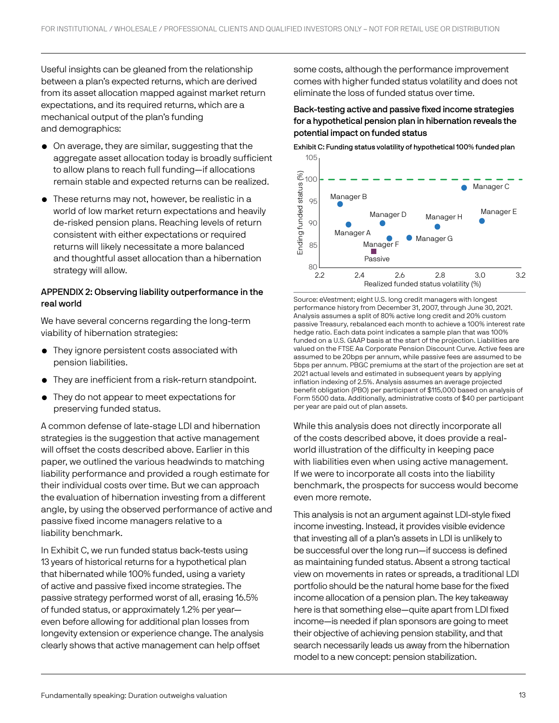Useful insights can be gleaned from the relationship between a plan's expected returns, which are derived from its asset allocation mapped against market return expectations, and its required returns, which are a mechanical output of the plan's funding and demographics:

- On average, they are similar, suggesting that the aggregate asset allocation today is broadly sufficient to allow plans to reach full funding—if allocations remain stable and expected returns can be realized.
- These returns may not, however, be realistic in a world of low market return expectations and heavily de-risked pension plans. Reaching levels of return consistent with either expectations or required returns will likely necessitate a more balanced and thoughtful asset allocation than a hibernation strategy will allow.

## APPENDIX 2: Observing liability outperformance in the real world

We have several concerns regarding the long-term viability of hibernation strategies:

- They ignore persistent costs associated with pension liabilities.
- They are inefficient from a risk-return standpoint.
- They do not appear to meet expectations for preserving funded status.

A common defense of late-stage LDI and hibernation strategies is the suggestion that active management will offset the costs described above. Earlier in this paper, we outlined the various headwinds to matching liability performance and provided a rough estimate for their individual costs over time. But we can approach the evaluation of hibernation investing from a different angle, by using the observed performance of active and passive fixed income managers relative to a liability benchmark.

In Exhibit C, we run funded status back-tests using 13 years of historical returns for a hypothetical plan that hibernated while 100% funded, using a variety of active and passive fixed income strategies. The passive strategy performed worst of all, erasing 16.5% of funded status, or approximately 1.2% per year even before allowing for additional plan losses from longevity extension or experience change. The analysis clearly shows that active management can help offset

some costs, although the performance improvement comes with higher funded status volatility and does not eliminate the loss of funded status over time.

## Back-testing active and passive fixed income strategies for a hypothetical pension plan in hibernation reveals the potential impact on funded status

Exhibit C: Funding status volatility of hypothetical 100% funded plan 105



Source: eVestment; eight U.S. long credit managers with longest performance history from December 31, 2007, through June 30, 2021. Analysis assumes a split of 80% active long credit and 20% custom passive Treasury, rebalanced each month to achieve a 100% interest rate hedge ratio. Each data point indicates a sample plan that was 100% funded on a U.S. GAAP basis at the start of the projection. Liabilities are valued on the FTSE Aa Corporate Pension Discount Curve. Active fees are assumed to be 20bps per annum, while passive fees are assumed to be 5bps per annum. PBGC premiums at the start of the projection are set at 2021 actual levels and estimated in subsequent years by applying inflation indexing of 2.5%. Analysis assumes an average projected benefit obligation (PBO) per participant of \$115,000 based on analysis of Form 5500 data. Additionally, administrative costs of \$40 per participant per year are paid out of plan assets.

While this analysis does not directly incorporate all of the costs described above, it does provide a realworld illustration of the difficulty in keeping pace with liabilities even when using active management. If we were to incorporate all costs into the liability benchmark, the prospects for success would become even more remote.

This analysis is not an argument against LDI-style fixed income investing. Instead, it provides visible evidence that investing all of a plan's assets in LDI is unlikely to be successful over the long run—if success is defined as maintaining funded status. Absent a strong tactical view on movements in rates or spreads, a traditional LDI portfolio should be the natural home base for the fixed income allocation of a pension plan. The key takeaway here is that something else—quite apart from LDI fixed income—is needed if plan sponsors are going to meet their objective of achieving pension stability, and that search necessarily leads us away from the hibernation model to a new concept: pension stabilization.